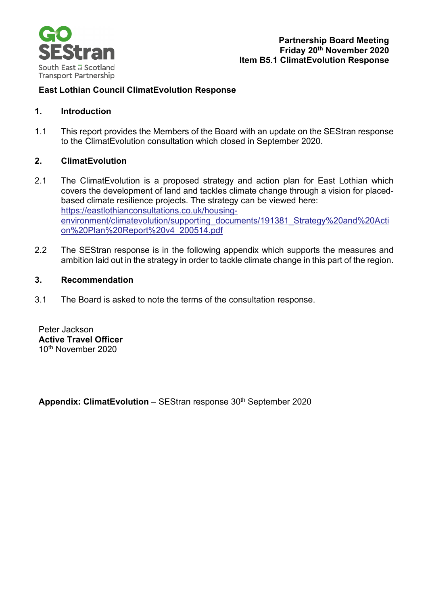

# **East Lothian Council ClimatEvolution Response**

## **1. Introduction**

1.1 This report provides the Members of the Board with an update on the SEStran response to the ClimatEvolution consultation which closed in September 2020.

### **2. ClimatEvolution**

- 2.1 The ClimatEvolution is a proposed strategy and action plan for East Lothian which covers the development of land and tackles climate change through a vision for placedbased climate resilience projects. The strategy can be viewed here: [https://eastlothianconsultations.co.uk/housing](https://eastlothianconsultations.co.uk/housing-environment/climatevolution/supporting_documents/191381_Strategy%20and%20Action%20Plan%20Report%20v4_200514.pdf)[environment/climatevolution/supporting\\_documents/191381\\_Strategy%20and%20Acti](https://eastlothianconsultations.co.uk/housing-environment/climatevolution/supporting_documents/191381_Strategy%20and%20Action%20Plan%20Report%20v4_200514.pdf) [on%20Plan%20Report%20v4\\_200514.pdf](https://eastlothianconsultations.co.uk/housing-environment/climatevolution/supporting_documents/191381_Strategy%20and%20Action%20Plan%20Report%20v4_200514.pdf)
- 2.2 The SEStran response is in the following appendix which supports the measures and ambition laid out in the strategy in order to tackle climate change in this part of the region.

## **3. Recommendation**

3.1 The Board is asked to note the terms of the consultation response.

Peter Jackson **Active Travel Officer** 10th November 2020

**Appendix: ClimatEvolution** – SEStran response 30<sup>th</sup> September 2020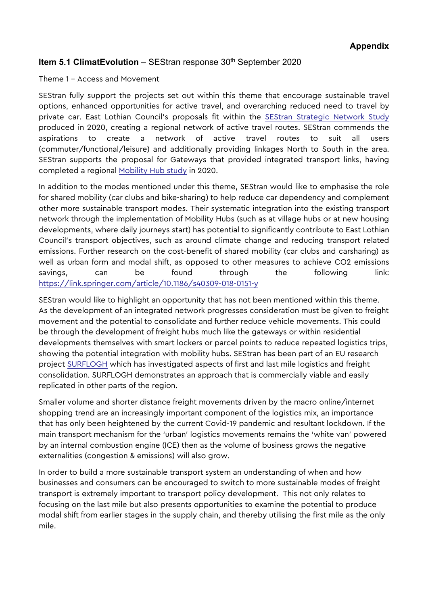# **Item 5.1 ClimatEvolution** – SEStran response 30<sup>th</sup> September 2020

Theme 1 – Access and Movement

SEStran fully support the projects set out within this theme that encourage sustainable travel options, enhanced opportunities for active travel, and overarching reduced need to travel by private car. East Lothian Council's proposals fit within the [SEStran Strategic Network Study](https://sestran.gov.uk/wp-content/uploads/2020/05/SEStran-Strategic-Network-Final-Publication.pdf) produced in 2020, creating a regional network of active travel routes. SEStran commends the aspirations to create a network of active travel routes to suit all users (commuter/functional/leisure) and additionally providing linkages North to South in the area. SEStran supports the proposal for Gateways that provided integrated transport links, having completed a regional [Mobility Hub study](https://sestran.gov.uk/news/sestran-strategic-studies/) in 2020.

In addition to the modes mentioned under this theme, SEStran would like to emphasise the role for shared mobility (car clubs and bike-sharing) to help reduce car dependency and complement other more sustainable transport modes. Their systematic integration into the existing transport network through the implementation of Mobility Hubs (such as at village hubs or at new housing developments, where daily journeys start) has potential to significantly contribute to East Lothian Council's transport objectives, such as around climate change and reducing transport related emissions. Further research on the cost-benefit of shared mobility (car clubs and carsharing) as well as urban form and modal shift, as opposed to other measures to achieve CO2 emissions savings, can be found through the following link: <https://link.springer.com/article/10.1186/s40309-018-0151-y>

SEStran would like to highlight an opportunity that has not been mentioned within this theme. As the development of an integrated network progresses consideration must be given to freight movement and the potential to consolidate and further reduce vehicle movements. This could be through the development of freight hubs much like the gateways or within residential developments themselves with smart lockers or parcel points to reduce repeated logistics trips, showing the potential integration with mobility hubs. SEStran has been part of an EU research project [SURFLOGH](https://sestran.gov.uk/projects/surflogh/) which has investigated aspects of first and last mile logistics and freight consolidation. SURFLOGH demonstrates an approach that is commercially viable and easily replicated in other parts of the region.

Smaller volume and shorter distance freight movements driven by the macro online/internet shopping trend are an increasingly important component of the logistics mix, an importance that has only been heightened by the current Covid-19 pandemic and resultant lockdown. If the main transport mechanism for the 'urban' logistics movements remains the 'white van' powered by an internal combustion engine (ICE) then as the volume of business grows the negative externalities (congestion & emissions) will also grow.

In order to build a more sustainable transport system an understanding of when and how businesses and consumers can be encouraged to switch to more sustainable modes of freight transport is extremely important to transport policy development. This not only relates to focusing on the last mile but also presents opportunities to examine the potential to produce modal shift from earlier stages in the supply chain, and thereby utilising the first mile as the only mile.